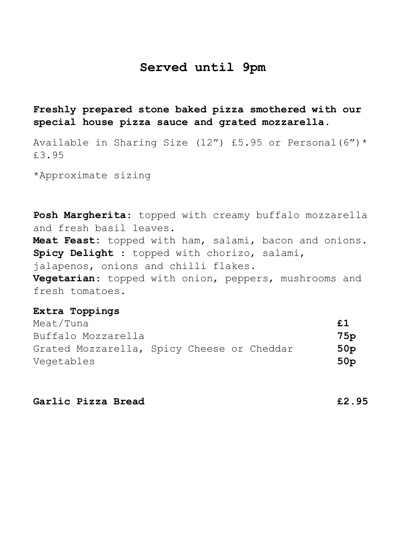# **Served until 9pm**

**Freshly prepared stone baked pizza smothered with our special house pizza sauce and grated mozzarella.** 

Available in Sharing Size (12") £5.95 or Personal  $(6")^*$ £3.95

\*Approximate sizing

**Posh Margherita**: topped with creamy buffalo mozzarella and fresh basil leaves. **Meat Feast:** topped with ham, salami, bacon and onions. **Spicy Delight** : topped with chorizo, salami, jalapenos, onions and chilli flakes. **Vegetarian**: topped with onion, peppers, mushrooms and fresh tomatoes.

## **Extra Toppings**

| Meat/Tuna                                  |  |  | £1              |
|--------------------------------------------|--|--|-----------------|
| Buffalo Mozzarella                         |  |  | 75p             |
| Grated Mozzarella, Spicy Cheese or Cheddar |  |  | 50 <sub>p</sub> |
| Vegetables                                 |  |  | 50 <sub>p</sub> |

**Garlic Pizza Bread £2.95**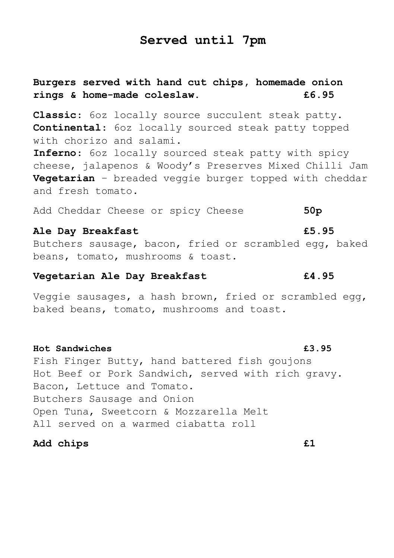# **Served until 7pm**

# **Burgers served with hand cut chips, homemade onion rings & home-made coleslaw. £6.95**

**Classic**: 6oz locally source succulent steak patty. **Continental**: 6oz locally sourced steak patty topped with chorizo and salami.

**Inferno**: 6oz locally sourced steak patty with spicy cheese, jalapenos & Woody's Preserves Mixed Chilli Jam **Vegetarian** – breaded veggie burger topped with cheddar and fresh tomato.

Add Cheddar Cheese or spicy Cheese **50p**

### **Ale Day Breakfast £5.95**

Butchers sausage, bacon, fried or scrambled egg, baked beans, tomato, mushrooms & toast.

## **Vegetarian Ale Day Breakfast £4.95**

Veggie sausages, a hash brown, fried or scrambled egg, baked beans, tomato, mushrooms and toast.

### **Hot Sandwiches £3.95**

Fish Finger Butty, hand battered fish goujons Hot Beef or Pork Sandwich, served with rich gravy. Bacon, Lettuce and Tomato. Butchers Sausage and Onion Open Tuna, Sweetcorn & Mozzarella Melt All served on a warmed ciabatta roll

## **Add chips £1**